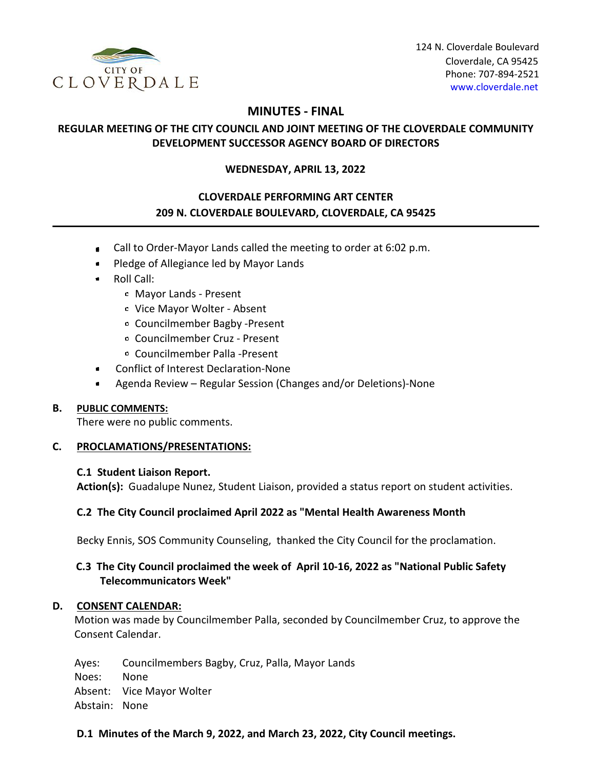

124 N. Cloverdale Boulevard Cloverdale, CA 95425 Phone: 707-894-2521 [www.cloverdale.net](https://www.cloverdale.net/)

# **MINUTES - FINAL**

# **REGULAR MEETING OF THE CITY COUNCIL AND JOINT MEETING OF THE CLOVERDALE COMMUNITY DEVELOPMENT SUCCESSOR AGENCY BOARD OF DIRECTORS**

### **WEDNESDAY, APRIL 13, 2022**

# **CLOVERDALE PERFORMING ART CENTER 209 N. CLOVERDALE BOULEVARD, CLOVERDALE, CA 95425**

- Call to Order-Mayor Lands called the meeting to order at 6:02 p.m.  $\bullet$
- Pledge of Allegiance led by Mayor Lands
- Roll Call:
	- Mayor Lands Present
	- Vice Mayor Wolter Absent
	- Councilmember Bagby -Present
	- Councilmember Cruz Present
	- Councilmember Palla -Present
- Conflict of Interest Declaration-None
- Agenda Review Regular Session (Changes and/or Deletions)-None  $\bullet$

### **B. PUBLIC COMMENTS:**

There were no public comments.

### **C. PROCLAMATIONS/PRESENTATIONS:**

#### **C.1 Student Liaison Report.**

**Action(s):** Guadalupe Nunez, Student Liaison, provided a status report on student activities.

### **C.2 The City Council proclaimed April 2022 as "Mental Health Awareness Month**

Becky Ennis, SOS Community Counseling, thanked the City Council for the proclamation.

## **C.3 The City Council proclaimed the week of April 10-16, 2022 as "National Public Safety Telecommunicators Week"**

### **D. CONSENT CALENDAR:**

Motion was made by Councilmember Palla, seconded by Councilmember Cruz, to approve the Consent Calendar.

Ayes: Councilmembers Bagby, Cruz, Palla, Mayor Lands Noes: None Absent: Vice Mayor Wolter Abstain: None

### **D.1 Minutes of the March 9, 2022, and March 23, 2022, City Council meetings.**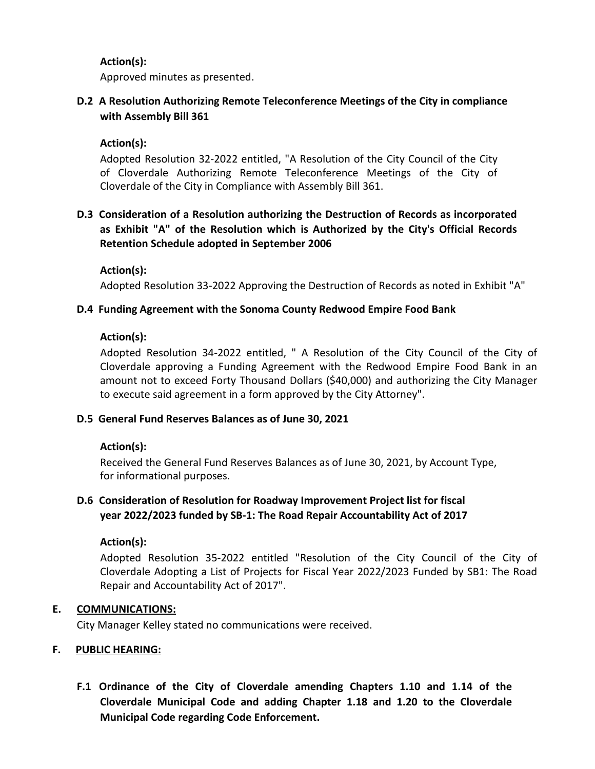# **Action(s):**

Approved minutes as presented.

# **D.2 A Resolution Authorizing Remote Teleconference Meetings of the City in compliance with Assembly Bill 361**

# **Action(s):**

Adopted Resolution 32-2022 entitled, "A Resolution of the City Council of the City of Cloverdale Authorizing Remote Teleconference Meetings of the City of Cloverdale of the City in Compliance with Assembly Bill 361.

# **D.3 Consideration of a Resolution authorizing the Destruction of Records as incorporated as Exhibit "A" of the Resolution which is Authorized by the City's Official Records Retention Schedule adopted in September 2006**

**Action(s):**

Adopted Resolution 33-2022 Approving the Destruction of Records as noted in Exhibit "A"

## **D.4 Funding Agreement with the Sonoma County Redwood Empire Food Bank**

## **Action(s):**

Adopted Resolution 34-2022 entitled, " A Resolution of the City Council of the City of Cloverdale approving a Funding Agreement with the Redwood Empire Food Bank in an amount not to exceed Forty Thousand Dollars (\$40,000) and authorizing the City Manager to execute said agreement in a form approved by the City Attorney".

## **D.5 General Fund Reserves Balances as of June 30, 2021**

# **Action(s):**

Received the General Fund Reserves Balances as of June 30, 2021, by Account Type, for informational purposes.

# **D.6 Consideration of Resolution for Roadway Improvement Project list for fiscal year 2022/2023 funded by SB-1: The Road Repair Accountability Act of 2017**

# **Action(s):**

Adopted Resolution 35-2022 entitled "Resolution of the City Council of the City of Cloverdale Adopting a List of Projects for Fiscal Year 2022/2023 Funded by SB1: The Road Repair and Accountability Act of 2017".

## **E. COMMUNICATIONS:**

City Manager Kelley stated no communications were received.

## **F. PUBLIC HEARING:**

**F.1 Ordinance of the City of Cloverdale amending Chapters 1.10 and 1.14 of the Cloverdale Municipal Code and adding Chapter 1.18 and 1.20 to the Cloverdale Municipal Code regarding Code Enforcement.**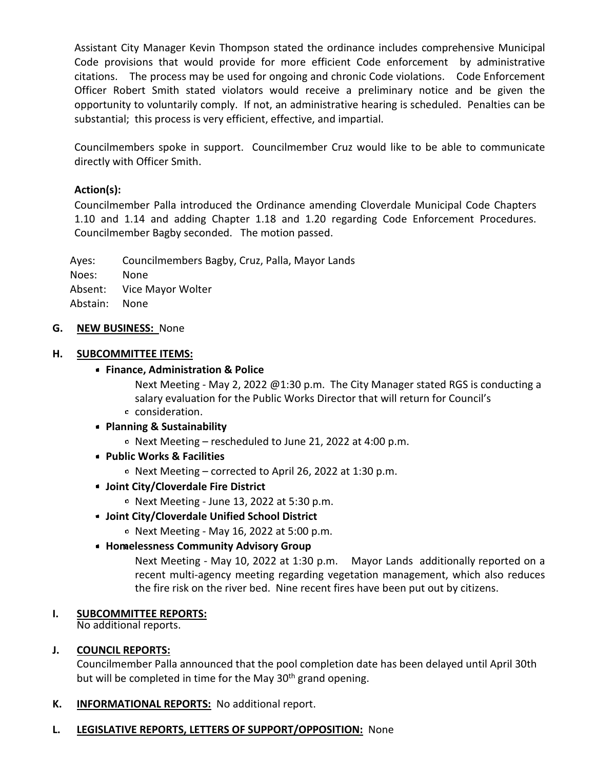Assistant City Manager Kevin Thompson stated the ordinance includes comprehensive Municipal Code provisions that would provide for more efficient Code enforcement by administrative citations. The process may be used for ongoing and chronic Code violations. Code Enforcement Officer Robert Smith stated violators would receive a preliminary notice and be given the opportunity to voluntarily comply. If not, an administrative hearing is scheduled. Penalties can be substantial; this process is very efficient, effective, and impartial.

Councilmembers spoke in support. Councilmember Cruz would like to be able to communicate directly with Officer Smith.

# **Action(s):**

Councilmember Palla introduced the Ordinance amending Cloverdale Municipal Code Chapters 1.10 and 1.14 and adding Chapter 1.18 and 1.20 regarding Code Enforcement Procedures. Councilmember Bagby seconded. The motion passed.

Ayes: Councilmembers Bagby, Cruz, Palla, Mayor Lands Noes: None Absent: Vice Mayor Wolter Abstain: None

### **G. NEW BUSINESS:** None

### **H. SUBCOMMITTEE ITEMS:**

### **Finance, Administration & Police**

Next Meeting - May 2, 2022 @1:30 p.m. The City Manager stated RGS is conducting a salary evaluation for the Public Works Director that will return for Council's

consideration.

## **Planning & Sustainability**

- Next Meeting rescheduled to June 21, 2022 at 4:00 p.m.
- **Public Works & Facilities**
	- $\circ$  Next Meeting corrected to April 26, 2022 at 1:30 p.m.
- **Joint City/Cloverdale Fire District**
	- $\circ$  Next Meeting June 13, 2022 at 5:30 p.m.
- **Joint City/Cloverdale Unified School District**
	- $\circ$  Next Meeting May 16, 2022 at 5:00 p.m.
- **Homelessness Community Advisory Group**

Next Meeting - May 10, 2022 at 1:30 p.m. Mayor Lands additionally reported on a recent multi-agency meeting regarding vegetation management, which also reduces the fire risk on the river bed. Nine recent fires have been put out by citizens.

## **I. SUBCOMMITTEE REPORTS:**

No additional reports.

## **J. COUNCIL REPORTS:**

Councilmember Palla announced that the pool completion date has been delayed until April 30th but will be completed in time for the May 30<sup>th</sup> grand opening.

- **K. INFORMATIONAL REPORTS:** No additional report.
- **L. LEGISLATIVE REPORTS, LETTERS OF SUPPORT/OPPOSITION:** None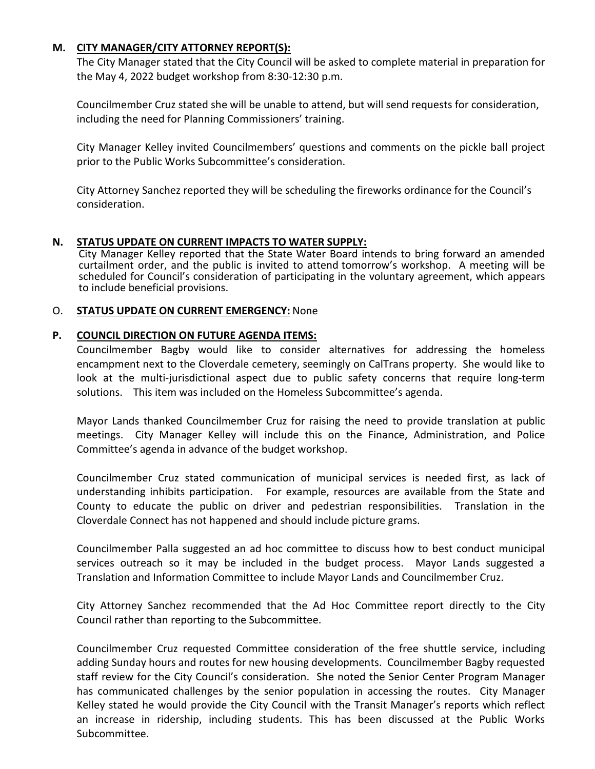## **M. CITY MANAGER/CITY ATTORNEY REPORT(S):**

The City Manager stated that the City Council will be asked to complete material in preparation for the May 4, 2022 budget workshop from 8:30-12:30 p.m.

Councilmember Cruz stated she will be unable to attend, but will send requests for consideration, including the need for Planning Commissioners' training.

City Manager Kelley invited Councilmembers' questions and comments on the pickle ball project prior to the Public Works Subcommittee's consideration.

City Attorney Sanchez reported they will be scheduling the fireworks ordinance for the Council's consideration.

## **N. STATUS UPDATE ON CURRENT IMPACTS TO WATER SUPPLY:**

City Manager Kelley reported that the State Water Board intends to bring forward an amended curtailment order, and the public is invited to attend tomorrow's workshop. A meeting will be scheduled for Council's consideration of participating in the voluntary agreement, which appears to include beneficial provisions.

## O. **STATUS UPDATE ON CURRENT EMERGENCY:** None

## **P. COUNCIL DIRECTION ON FUTURE AGENDA ITEMS:**

Councilmember Bagby would like to consider alternatives for addressing the homeless encampment next to the Cloverdale cemetery, seemingly on CalTrans property. She would like to look at the multi-jurisdictional aspect due to public safety concerns that require long-term solutions. This item was included on the Homeless Subcommittee's agenda.

Mayor Lands thanked Councilmember Cruz for raising the need to provide translation at public meetings. City Manager Kelley will include this on the Finance, Administration, and Police Committee's agenda in advance of the budget workshop.

Councilmember Cruz stated communication of municipal services is needed first, as lack of understanding inhibits participation. For example, resources are available from the State and County to educate the public on driver and pedestrian responsibilities. Translation in the Cloverdale Connect has not happened and should include picture grams.

Councilmember Palla suggested an ad hoc committee to discuss how to best conduct municipal services outreach so it may be included in the budget process. Mayor Lands suggested a Translation and Information Committee to include Mayor Lands and Councilmember Cruz.

City Attorney Sanchez recommended that the Ad Hoc Committee report directly to the City Council rather than reporting to the Subcommittee.

Councilmember Cruz requested Committee consideration of the free shuttle service, including adding Sunday hours and routes for new housing developments. Councilmember Bagby requested staff review for the City Council's consideration. She noted the Senior Center Program Manager has communicated challenges by the senior population in accessing the routes. City Manager Kelley stated he would provide the City Council with the Transit Manager's reports which reflect an increase in ridership, including students. This has been discussed at the Public Works Subcommittee.